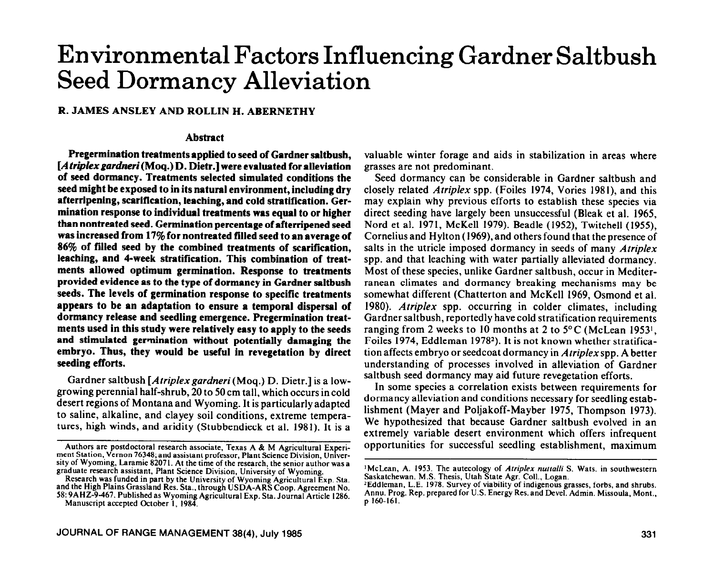# **Environmental Factors Influencing Gardner Saltbush Seed Dormancy Alleviation**

## R. JAMES ANSLEY AND ROLLIN H. ABERNETHY

# **Abstract**

**Pregermination treatments applied to seed of Gardner saltbush,**  [A triplex gardneri (Moq.) D. Dietr.] were evaluated for alleviation **of seed dormancy. Treatments selected simulated conditions the seed might be exposed to in its natural environment, including dry afterripening, scarification, leaching, and cold stratification. Germination response to individual treatments was equal to or higher than nontreated seed. Germination percentage of afterripened seed was increased from 17% for nontreated filled seed to an average of 86% of filled seed by the combined treatments of scarification, leaching, and 4-week stratification. This combination of treatments allowed optimum germination. Response to treatments provided evidence as to the type of dormancy in Gardner saltbush seeds. The levels of germination response to specific treatments appears to be an adaptation to ensure a temporal dispersal of dormancy release and seedling emergence. Pregermination treatments used in this study were relatively easy to apply to the seeds and stimulated germination without potentially damaging the embryo. Thus, they would be useful in revegetation by direct seeding efforts.** 

Gardner saltbush *[Atriplex gardneri* (Mog.) D. Dietr. l is a lowgrowing perennial half-shrub, 20 to 50 cm tall, which occurs in cold desert regions of Montana and Wyoming. It is particularly adapted to saline, alkaline, and clayey soil conditions, extreme temperatures, high winds, and aridity (Stubbendieck et al. 1981). It is a valuable winter forage and aids in stabilization in areas where grasses are not predominant.

Seed dormancy can be considerable in Gardner saltbush and closely related *Atriplex* spp. (Foiles 1974, Vories 1981), and this may explain why previous efforts to establish these species via direct seeding have largely been unsuccessful (Bleak et al. 1965, Nord et al. 1971, McKell 1979). Beadle (1952), Twitchell (1955), Cornelius and Hylton (1969), and others found that the presence of salts in the utricle imposed dormancy in seeds of many *Atriplex*  spp. and that leaching with water partially alleviated dormancy. Most of these species, unlike Gardner saltbush, occur in Mediterranean climates and dormancy breaking mechanisms may be somewhat different (Chatterton and McKell 1969, Osmond et al. 1980). *Atriplex* spp. occurring in colder climates, including Gardner saltbush, reportedly have cold stratification requirements ranging from 2 weeks to 10 months at 2 to 5°C (McLean 19531, Foiles 1974, Eddleman 19782). It is not known whether stratification affects embryo or seedcoat dormancy in *Atriplex* spp. A better understanding of processes involved in alleviation of Gardner saltbush seed dormancy may aid future revegetation efforts.

In some species a correlation exists between requirements for dormancy alleviation and conditions necessary for seedling establishment (Mayer and Poljakoff-Mayber 1975, Thompson 1973). We hypothesized that because Gardner saltbush evolved in an extremely variable desert environment which offers infrequent opportunities for successful seedling establishment, maximum

Authors are postdoctoral research associate, Texas A & M Agricultural Experiment Station, Vernon 76348; and assistant professor, Plant Science Division, University of Wyoming, Laramie 82071. At the time of the research, the senior author was a graduate research assistant, Plant Science Division, University of Wyoming.

Research was funded in part by the University of Wyoming Agricultural Exp. Sta. and the High Plains Grassland Res. Sta., through USDA-ARS Coop. Agreement No. 58: 9AHZ-9-467. Published as Wyoming Agricultural Exp. Sta. Journal Article 1286. Manuscript accepted October I, 1984.

<sup>&</sup>lt;sup>1</sup>McLean, A. 1953. The autecology of *Atriplex nuttalli* S. Wats. in southwestern Saskatchewan. M.S. Thesis, Utah State Agr. Coll., Logan.

<sup>&#</sup>x27;EddIeman, L.E. 1978. Survey of viability of indigenous grasses, forbs, and shrubs. Annu. Prog. Rep. prepared for U.S. Energy Res. and Devel. Admin. Missoula. Mont.. p 160-161.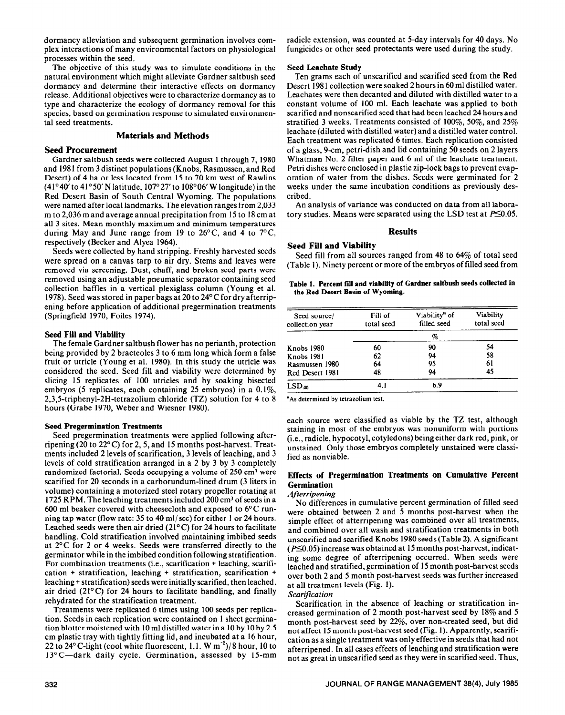dormancy alleviation and subsequent germination involves complex interactions of many environmental factors on physiological processes within the seed.

The objective of this study was to simulate conditions in the natural environment which might alleviate Gardner saltbush seed dormancy and determine their interactive effects on dormancy release. Additional objectives were to characterize dormancy as to type and characterize the ecology of dormancy removal for this species, based on germination response to simulated environmental seed treatments.

# **Materials and Methods**

## **Seed Procurement**

Gardner saltbush seeds were collected August 1 through 7, 1980 and 198 1 from 3 distinct populations (Knobs, Rasmussen, and Red Desert) of 4 ha or less located from 15 to 70 km west of Rawlins (41°40' to 41°50' N latitude, 107°27' to 108°06' W longitude) in the Red Desert Basin of South Central Wyoming. The populations were named after local landmarks. The elevation ranges from 2,033 m to 2,036 m and average annual precipitation from 15 to 18 cm at all 3 sites. Mean monthly maximum and minimum temperatures during May and June range from 19 to  $26^{\circ}$ C, and 4 to  $7^{\circ}$ C, respectively (Becker and Alyea 1964).

Seeds were collected by hand stripping. Freshly harvested seeds were spread on a canvas tarp to air dry. Stems and leaves were removed via screening. Dust, chaff, and broken seed parts were removed using an adjustable pneumatic separator containing seed collection baffles in a vertical plexiglass column (Young et al. 1978). Seed was stored in paper bags at 20 to 24°C **for dry** afterripening before application of additional pregermination treatments (Springfield 1970, Foiles 1974).

## **Seed Fill and Viability**

The female Gardner saltbush flower has no perianth, protection being provided by 2 bracteoles 3 to 6 mm long which form a false fruit or utricle (Young et al. 1980). In this study the utricle was considered the seed. Seed fill and viability were determined by slicing 15 replicates of 100 utricles and by soaking bisected embryos (5 replicates, each containing 25 embryos) in a 0.1%, 2,3,5-triphenyl-2H-tetrazolium chloride (TZ) solution for 4 to 8 hours (Grabe 1970, Weber and Wiesner 1980).

#### **Seed Pregermination Treatments**

Seed pregermination treatments were applied following afterripening (20 to 22°C) for 2,5, and 15 months post-harvest. Treatments included 2 levels of scarification, 3 levels of leaching, and 3 levels of cold stratification arranged in a 2 by 3 by 3 completely randomized factorial. Seeds occupying a volume of 250 cm<sup>3</sup> were scarified for 20 seconds in a carborundum-lined drum (3 liters in volume) containing a motorized steel rotary propeller rotating at 1725 RPM. The leaching treatments included 200 cm3 of seeds in a 600 ml beaker covered with cheesecloth and exposed to  $6^{\circ}$ C running tap water (flow rate: 35 to 40 ml/sec) for either 1 or 24 hours. Leached seeds were then air dried (21°C) for 24 hours to facilitate handling. Cold stratification involved maintaining imbibed seeds at 2'C for 2 or 4 weeks. Seeds were transferred directly to the germinator while in the imbibed condition following stratification. For combination treatments (i.e., scarification + leaching, scarification + stratification, leaching + stratification, scarification + leaching + stratification) seeds were initially scarified, then leached, air dried  $(21^{\circ}$ C) for 24 hours to facilitate handling, and finally rehydrated for the stratification treatment.

Treatments were replicated 6 times using 100 seeds per replication. Seeds in each replication were contained on 1 sheet germination blotter moistened with 10 ml distilled water ina 10 by 10 by 2.5 cm plastic tray with tightly fitting lid, and incubated at a 16 hour, 22 to 24 $\degree$  C-light (cool white fluorescent, 1.1. W m<sup>-2</sup>)/8 hour, 10 to 13°C-dark daily cycle. Germination, assessed by 15-mm

radicle extension, was counted at 5-day intervals for 40 days. No fungicides or other seed protectants were used during the study.

#### **Seed Leacbate Study**

**Ten** grams each of unscarified and scarified seed from the Red Desert 198 1 collection were soaked 2 hours in 60 ml distilled water. Leachates were then decanted and diluted with distilled water to a constant volume of 100 ml. Each leachate was applied to both scarified and nonscarified seed that had been leached 24 hours and stratified 3 weeks. Treatments consisted of  $100\%$ , 50%, and 25% leachate (diluted with distilled water) and a distilled water control. Each treatment was replicated 6 times. Each replication consisted of a glass, 9-cm, petri-dish and lid containing 50 seeds on 2 layers Whatman No. 2 filter paper and 6 ml of the leachate treatment. Petri dishes were enclosed in plastic zip-lock bags to prevent evaporation of water from the dishes. Seeds were germinated for 2 weeks under the same incubation conditions as previously described.

An analysis of variance was conducted on data from all laboratory studies. Means were separated using the LSD test at  $P\leq 0.05$ .

#### **Results**

## **Seed Fill and Viability**

**Seed** fill from all sources ranged from 48 to 64% of total seed (Table 1). Ninety percent or more of the embryos of filled seed from

Table **1. Percent fill and viability of Gardner saltbush seeds collected in the Red Desert Basin of Wyoming.** 

| Seed source/<br>collection year | Fill of<br>total seed | Viability <sup>a</sup> of<br>filled seed | <b>Viability</b><br>total seed |  |  |  |
|---------------------------------|-----------------------|------------------------------------------|--------------------------------|--|--|--|
|                                 |                       |                                          |                                |  |  |  |
| <b>Knobs 1980</b>               | 60                    | 90                                       | 54                             |  |  |  |
| <b>Knobs 1981</b>               | 62                    | 94                                       | 58                             |  |  |  |
| Rasmussen 1980                  | 64                    | 95                                       | 61                             |  |  |  |
| Red Desert 1981                 | 48                    | 94                                       | 45                             |  |  |  |
| LSD <sub>05</sub>               | 4. I                  | 69                                       |                                |  |  |  |

"As determined by tetrazolium test.

each source were classified as viable by the TZ test, although staining in most of the embryos was nonuniform with portions (i.e., radicle, hypocotyl, cotyledons) being either dark red, pink, or unstained. Only those embryos completely unstained were classified as nonviable.

# **Effects of Pregermination Treatments on Cumulative Percent Germination**

## *Afterripening*

*No* differences in cumulative percent germination of filled seed were obtained between 2 and 5 months post-harvest when the simple effect of afterripening was combined over all treatments, and combined over all wash and stratification treatments in both unscarified and scarified Knobs 1980 seeds (Table 2). A significant  $(P\leq 0.05)$  increase was obtained at 15 months post-harvest, indicating some degree of afterripening occurred. When seeds were leached and stratified, germination of 15 month post-harvest seeds over both 2 and 5 month post-harvest seeds was further increased at all treatment levels (Fig. 1).

*Scarification* 

Scarification in the absence of leaching or stratification increased germination of 2 month post-harvest seed by 18% and 5 month post-harvest seed by 22%, over non-treated seed, but did not affect 15 month post-harvest seed (Fig. 1). Apparently, scarification as a single treatment was only effective in seeds that had not afterripened. In ail cases effects of leaching and stratification were not as great in unscarified seed as they were in scarified seed. Thus,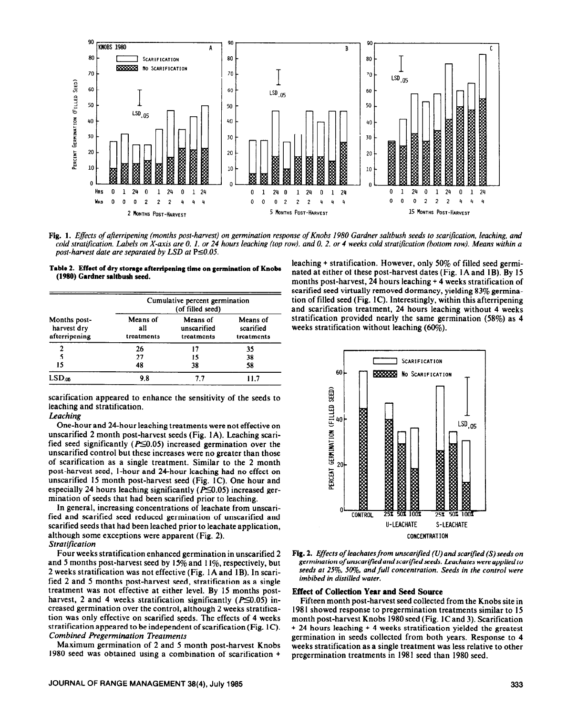

Fig. 1. *Effects of afterripening (months post-harvest) on germination response of Knobs 1980 Gardner saltbush seeds to scarification, leaching, and* cold stratification. Labels on X-axis are 0, 1, or 24 hours leaching (top row), and 0, 2, or 4 weeks cold stratification (bottom row). Means within a *post-harvest date are separated by LSD at* P $\leq 0.05$ .



| Months post-<br>harvest dry<br>afterripening | Cumulative percent germination<br>(of filled seed) |                                       |                                     |  |  |  |  |  |  |  |  |
|----------------------------------------------|----------------------------------------------------|---------------------------------------|-------------------------------------|--|--|--|--|--|--|--|--|
|                                              | Means of<br>all<br>treatments                      | Means of<br>unscarified<br>treatments | Means of<br>scarified<br>treatments |  |  |  |  |  |  |  |  |
| 2                                            | 26                                                 | 17                                    | 35                                  |  |  |  |  |  |  |  |  |
|                                              | 27                                                 | 15                                    | 38                                  |  |  |  |  |  |  |  |  |
| 15                                           | 48                                                 | 38                                    | 58                                  |  |  |  |  |  |  |  |  |
| $LSD_{06}$                                   | 9.8                                                | 7.7                                   | I I 7                               |  |  |  |  |  |  |  |  |

scarification appeared to enhance the sensitivity of the seeds to leaching and stratification.

#### *Leaching*

One-hour and 24hour leaching treatments were not effective on unscarified 2 month post-harvest seeds (Fig. IA). Leaching scarified seed significantly ( $P \le 0.05$ ) increased germination over the unscarified control but these increases were no greater than those of scarification as a single treatment. Similar to the 2 month post-harvest seed, l-hour and 24hour leaching had no effect on unscarified 15 month post-harvest seed (Fig. 1C). One hour and especially 24 hours leaching significantly ( $P \le 0.05$ ) increased germination of seeds that had been scarified prior to leaching.

In general, increasing concentrations of leachate from unscarified and scarified seed reduced germination of unscarified and scarified seeds that had been leached prior to leachate application, although some exceptions were apparent (Fig. 2). *Stratijkation* 

Four weeks stratification enhanced germination in unscarified 2 and 5 months post-harvest seed by  $15\%$  and  $11\%$ , respectively, but 2 weeks stratification was not effective (Fig. 1A and 1B). In scarified 2 and 5 months post-harvest seed, stratification as a single treatment was not effective at either level. By 15 months postharvest, 2 and 4 weeks stratification significantly ( $P \le 0.05$ ) increased germination over the control, although 2 weeks stratification was only effective on scarified seeds. The effects of 4 weeks stratification appeared to be independent of scarification (Fig. 1C). *Combined Pregermination Treatments* 

Maximum germination of 2 and 5 month post-harvest Knobs 1980 seed was obtained using a combination of scarification +

leaching + stratification. However, only 50% of filled seed germinated at either of these post-harvest dates (Fig. 1A and 1B). By 15 months post-harvest, 24 hours leaching + 4 weeks stratification of scarified seed virtually removed dormancy, yielding 83% germination of filled seed (Fig. 1C). Interestingly, within this afterripening and scarification treatment, 24 hours leaching without 4 weeks stratification provided nearly the same germination (58%) as 4 weeks stratification without leaching (60%).





#### **Effect of Collection Year and Seed Source**

Fifteen month post-harvest seed collected from the Knobs site in 1981 showed response to pregermination treatments similar to 15 month post-harvest Knobs 1980 seed (Fig. 1C and 3). Scarification + 24 hours leaching + 4 weeks stratification yielded the greatest germination in seeds collected from both years. Response to 4 weeks stratification as a single treatment was less relative to other pregermination treatments in I981 seed than 1980 seed.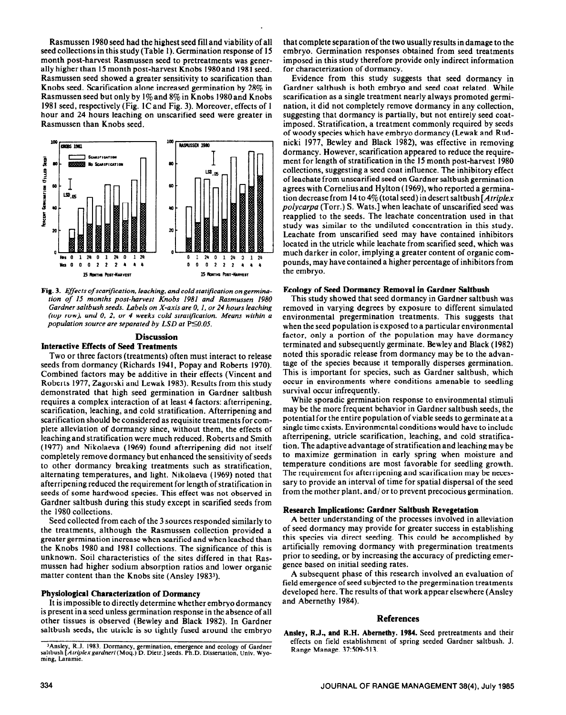Rasmussen 1980 seed had the highest seed fill and viability of all seed collections in this study (Table 1). Germination response of 15 month post-harvest Rasmussen seed to pretreatments was generally higher than 15 month post-harvest Knobs 1980 and 198 1 seed. Rasmussen seed showed a greater sensitivity to scarification than Knobs seed. Scarification alone increased germination by 28% in Rasmussen seed but only by 1% and 8% in Knobs 1980and Knobs 1981 seed, respectively (Fig. 1C and Fig. 3). Moreover, effects of 1 hour and 24 hours leaching on unscarified seed were greater in Rasmussen than Knobs seed.



Fig. 3. *Effectsof scarification, leaching, and cold statification ongermination of 15 months post-harvest Knobs 1981 and Rasmussen 1980 Gardner salrbush seeds. Labels on X-axis are 0, 1, or 24 hours leaching (top row), and 0. 2. or 4 weeks cold stratijication. Means within a population source are separated by LSD at P* $\leq$ 0.05.

# **Discussion**

# **lnternetive Effects of Seed Treatments**

Two or three factors (treatments) often must interact to release seeds from dormancy (Richards 1941, Popay and Roberts 1970). Combined factors may be additive in their effects (Vincent and Roberts 1977, Zagorski and Lewak 1983). Results from this study demonstrated that high seed germination in Gardner saltbush requires a complex interaction of at least 4 factors: afterripening, scarification, leaching, and cold stratification. Afterripening and scarification should be considered as requisite treatments for complete alleviation of dormancy since, without them, the effects of leaching and stratification were much reduced. Robertsand Smith (1977) and Nikolaeva (1969) found afterripening did not itself completely remove dormancy but enhanced the sensitivity of seeds to other dormancy breaking treatments such as stratification, alternating temperatures, and light. Nikolaeva (1969) noted that afterripening reduced the requirement for length of stratification in seeds of some hardwood species. This effect was not observed in Gardner saltbush during this study except in scarified seeds from the 1980 collections.

Seed collected from each of the 3 sources responded similarly to the treatments, although the Rasmussen collection provided a greater germination increase when scarified and when leached than the Knobs 1980 and 1981 collections. The significance of this is unknown. Soil characteristics of the sites differed in that Rasmussen had higher sodium absorption ratios and lower organic matter content than the Knobs site (Ansley 19833).

#### **Physiological Characterization of Dormancy**

It is impossible to directly determine whether embryo dormancy is present in a seed unless germination response in the absence of all other tissues is observed (Bewley and Black 1982). In Gardner saltbush seeds, the utricle is so tightly fused around the embryo

that complete separation of the two usually results in damage to the embryo. Germination responses obtained from seed treatments imposed in this study therefore provide only indirect information for characterization of dormancy.

Evidence from this study suggests that seed dormancy in Gardner saltbush is both embryo and seed coat related. While scarification as a single treatment nearly always promoted germination, it did not completely remove dormancy in any collection, suggesting that dormancy is partially, but not entirely seed coatimposed. Stratification, a treatment commonly required by seeds of woody species which have embryo dormancy (Lewak and Rudnicki 1977, Bewley and Black 1982), was effective in removing dormancy. However, scarification appeared to reduce the requirement for length of stratification in the 15 month post-harvest 1980 collections, suggesting a seed coat influence. The inhibitory effect of leachate from unscarified seed on Gardner saltbush germination agrees with Cornelius and Hylton (1969), who reported a germination decrease from 14 to 4% (total seed) in desert saltbush *[Atriplex polycarpa* (Torr.) S. Wats.] when leachate of unscarified seed was reapplied to the seeds. The leachate concentration used in that study was similar to the undiluted concentration in this study. Leachate from unscarified seed may have contained inhibitors located in the utricle while leachate from scarified seed, which was much darker in color, implying a greater content of organic compounds, may have contained a higher percentage of inhibitors from the embryo.

#### Ecology **of Seed Dormaney Removal in Gardner Salthush**

This study showed that seed dormancy in Gardner saltbush was removed in varying degrees by exposure to different simulated environmental pregermination treatments. This suggests that when the seed population is exposed to a particular environmental factor, only a portion of the population may have dormancy terminated and subsequently germinate. Bewley and Black (1982) noted this sporadic release from dormancy may be to the advantage of the species because it temporally disperses germination. This is important for species, such as Gardner saltbush, which occur in environments where conditions amenable to seedling survival occur infrequently.

While sporadic germination response to environmental stimuli may be the more frequent behavior in Gardner saltbush seeds, the potential for the entire population of viable seeds to germinate at a single time exists. Environmental conditions would have to include afterripening, utricle scarification, leaching, and cold stratification. The adaptive advantage of stratification and leaching may be to maximize germination in early spring when moisture and temperature conditions are most favorable for seedling growth. The requirement for afterripening and scarification may be necessary to provide an interval of time for spatial dispersal of the seed from the mother plant, and/ or to prevent precocious germination.

# **Research Implications: Gardner Saltbush Revegetation**

A better understanding of the processes involved in alleviation of seed dormancy may provide for greater success in establishing this species via direct seeding. This could be accomplished by artificially removing dormancy with pregermination treatments prior to seeding, or by increasing the accuracy of predicting emergence based on initial seeding rates.

A subsequent phase of this research involved an evaluation of field emergence of seed subjected to the pregermination treatments developed here. The results of that work appear elsewhere (Ansley and Abernethy 1984).

#### **References**

Ansley, R.J., and R.H. Abemetby. 1984. Seed pretreatments and their effects on field establishment of spring seeded Gardner saltbush. J. Range Manage. 37:509-513.

<sup>&</sup>lt;sup>3</sup>Ansley, R.J. 1983. Dormancy, germination, emergence and ecology of Gardner<br>saltbush [Atriplex gardneri (Moq.) D. Dietr.] seeds. Ph.D. Dissertation, Univ. Wyoming, Laramie.